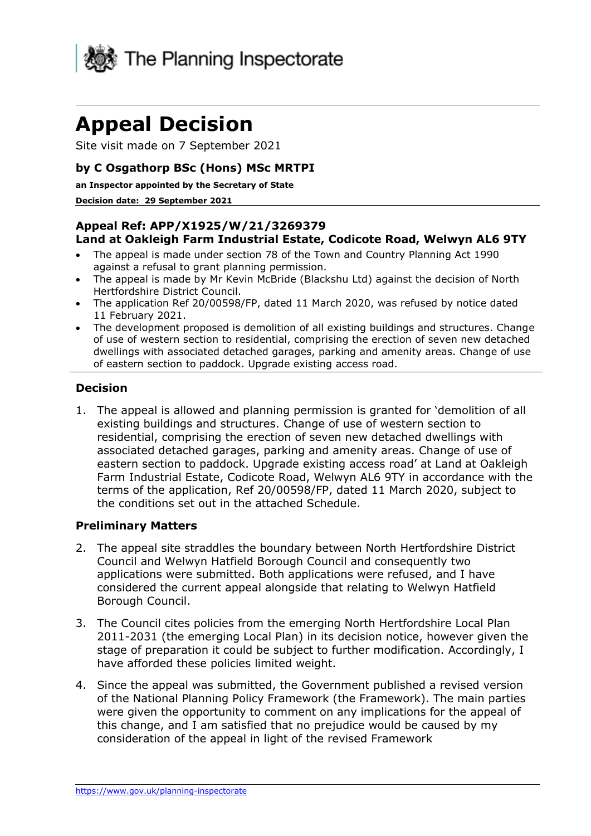

# **Appeal Decision**

Site visit made on 7 September 2021

#### **by C Osgathorp BSc (Hons) MSc MRTPI**

#### **an Inspector appointed by the Secretary of State**

#### **Decision date: 29 September 2021**

#### **Appeal Ref: APP/X1925/W/21/3269379 Land at Oakleigh Farm Industrial Estate, Codicote Road, Welwyn AL6 9TY**

- The appeal is made under section 78 of the Town and Country Planning Act 1990 against a refusal to grant planning permission.
- The appeal is made by Mr Kevin McBride (Blackshu Ltd) against the decision of North Hertfordshire District Council.
- The application Ref 20/00598/FP, dated 11 March 2020, was refused by notice dated 11 February 2021.
- The development proposed is demolition of all existing buildings and structures. Change of use of western section to residential, comprising the erection of seven new detached dwellings with associated detached garages, parking and amenity areas. Change of use of eastern section to paddock. Upgrade existing access road.

#### **Decision**

1. The appeal is allowed and planning permission is granted for 'demolition of all existing buildings and structures. Change of use of western section to residential, comprising the erection of seven new detached dwellings with associated detached garages, parking and amenity areas. Change of use of eastern section to paddock. Upgrade existing access road' at Land at Oakleigh Farm Industrial Estate, Codicote Road, Welwyn AL6 9TY in accordance with the terms of the application, Ref 20/00598/FP, dated 11 March 2020, subject to the conditions set out in the attached Schedule.

#### **Preliminary Matters**

- 2. The appeal site straddles the boundary between North Hertfordshire District Council and Welwyn Hatfield Borough Council and consequently two applications were submitted. Both applications were refused, and I have considered the current appeal alongside that relating to Welwyn Hatfield Borough Council.
- 3. The Council cites policies from the emerging North Hertfordshire Local Plan 2011-2031 (the emerging Local Plan) in its decision notice, however given the stage of preparation it could be subject to further modification. Accordingly, I have afforded these policies limited weight.
- 4. Since the appeal was submitted, the Government published a revised version of the National Planning Policy Framework (the Framework). The main parties were given the opportunity to comment on any implications for the appeal of this change, and I am satisfied that no prejudice would be caused by my consideration of the appeal in light of the revised Framework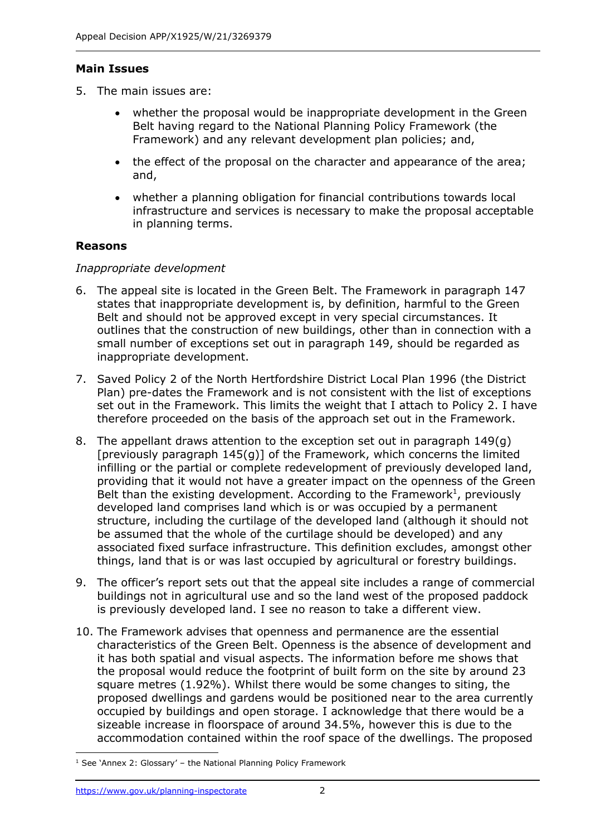### **Main Issues**

- 5. The main issues are:
	- whether the proposal would be inappropriate development in the Green Belt having regard to the National Planning Policy Framework (the Framework) and any relevant development plan policies; and,
	- the effect of the proposal on the character and appearance of the area; and,
	- whether a planning obligation for financial contributions towards local infrastructure and services is necessary to make the proposal acceptable in planning terms.

### **Reasons**

### *Inappropriate development*

- 6. The appeal site is located in the Green Belt. The Framework in paragraph 147 states that inappropriate development is, by definition, harmful to the Green Belt and should not be approved except in very special circumstances. It outlines that the construction of new buildings, other than in connection with a small number of exceptions set out in paragraph 149, should be regarded as inappropriate development.
- 7. Saved Policy 2 of the North Hertfordshire District Local Plan 1996 (the District Plan) pre-dates the Framework and is not consistent with the list of exceptions set out in the Framework. This limits the weight that I attach to Policy 2. I have therefore proceeded on the basis of the approach set out in the Framework.
- 8. The appellant draws attention to the exception set out in paragraph 149(g) [previously paragraph 145(g)] of the Framework, which concerns the limited infilling or the partial or complete redevelopment of previously developed land, providing that it would not have a greater impact on the openness of the Green Belt than the existing development. According to the Framework<sup>1</sup>, previously developed land comprises land which is or was occupied by a permanent structure, including the curtilage of the developed land (although it should not be assumed that the whole of the curtilage should be developed) and any associated fixed surface infrastructure. This definition excludes, amongst other things, land that is or was last occupied by agricultural or forestry buildings.
- 9. The officer's report sets out that the appeal site includes a range of commercial buildings not in agricultural use and so the land west of the proposed paddock is previously developed land. I see no reason to take a different view.
- 10. The Framework advises that openness and permanence are the essential characteristics of the Green Belt. Openness is the absence of development and it has both spatial and visual aspects. The information before me shows that the proposal would reduce the footprint of built form on the site by around 23 square metres (1.92%). Whilst there would be some changes to siting, the proposed dwellings and gardens would be positioned near to the area currently occupied by buildings and open storage. I acknowledge that there would be a sizeable increase in floorspace of around 34.5%, however this is due to the accommodation contained within the roof space of the dwellings. The proposed

 $1$  See 'Annex 2: Glossary' – the National Planning Policy Framework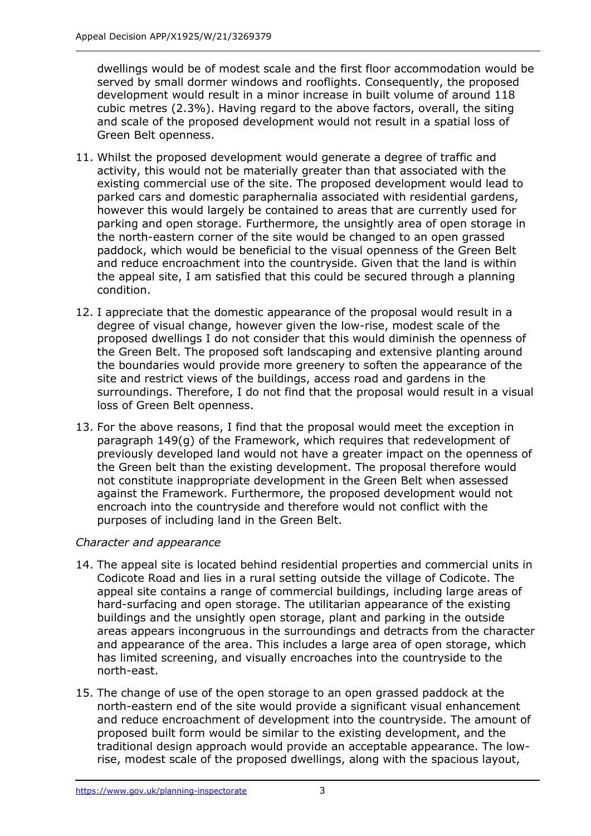dwellings would be of modest scale and the first floor accommodation would be served by small dormer windows and rooflights. Consequently, the proposed development would result in a minor increase in built volume of around 118 cubic metres (2.3%). Having regard to the above factors, overall, the siting and scale of the proposed development would not result in a spatial loss of Green Belt openness.

- 11. Whilst the proposed development would generate a degree of traffic and activity, this would not be materially greater than that associated with the existing commercial use of the site. The proposed development would lead to parked cars and domestic paraphernalia associated with residential gardens, however this would largely be contained to areas that are currently used for parking and open storage. Furthermore, the unsightly area of open storage in the north-eastern corner of the site would be changed to an open grassed paddock, which would be beneficial to the visual openness of the Green Belt and reduce encroachment into the countryside. Given that the land is within the appeal site, I am satisfied that this could be secured through a planning condition.
- 12. I appreciate that the domestic appearance of the proposal would result in a degree of visual change, however given the low-rise, modest scale of the proposed dwellings I do not consider that this would diminish the openness of the Green Belt. The proposed soft landscaping and extensive planting around the boundaries would provide more greenery to soften the appearance of the site and restrict views of the buildings, access road and gardens in the surroundings. Therefore, I do not find that the proposal would result in a visual loss of Green Belt openness.
- 13. For the above reasons, I find that the proposal would meet the exception in paragraph 149(g) of the Framework, which requires that redevelopment of previously developed land would not have a greater impact on the openness of the Green belt than the existing development. The proposal therefore would not constitute inappropriate development in the Green Belt when assessed against the Framework. Furthermore, the proposed development would not encroach into the countryside and therefore would not conflict with the purposes of including land in the Green Belt.

### *Character and appearance*

- 14. The appeal site is located behind residential properties and commercial units in Codicote Road and lies in a rural setting outside the village of Codicote. The appeal site contains a range of commercial buildings, including large areas of hard-surfacing and open storage. The utilitarian appearance of the existing buildings and the unsightly open storage, plant and parking in the outside areas appears incongruous in the surroundings and detracts from the character and appearance of the area. This includes a large area of open storage, which has limited screening, and visually encroaches into the countryside to the north-east.
- 15. The change of use of the open storage to an open grassed paddock at the north-eastern end of the site would provide a significant visual enhancement and reduce encroachment of development into the countryside. The amount of proposed built form would be similar to the existing development, and the traditional design approach would provide an acceptable appearance. The lowrise, modest scale of the proposed dwellings, along with the spacious layout,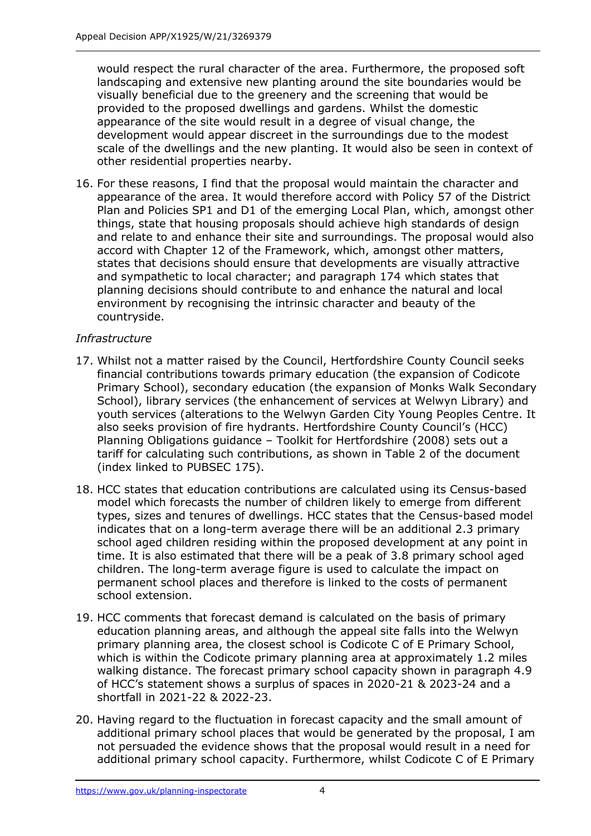would respect the rural character of the area. Furthermore, the proposed soft landscaping and extensive new planting around the site boundaries would be visually beneficial due to the greenery and the screening that would be provided to the proposed dwellings and gardens. Whilst the domestic appearance of the site would result in a degree of visual change, the development would appear discreet in the surroundings due to the modest scale of the dwellings and the new planting. It would also be seen in context of other residential properties nearby.

16. For these reasons, I find that the proposal would maintain the character and appearance of the area. It would therefore accord with Policy 57 of the District Plan and Policies SP1 and D1 of the emerging Local Plan, which, amongst other things, state that housing proposals should achieve high standards of design and relate to and enhance their site and surroundings. The proposal would also accord with Chapter 12 of the Framework, which, amongst other matters, states that decisions should ensure that developments are visually attractive and sympathetic to local character; and paragraph 174 which states that planning decisions should contribute to and enhance the natural and local environment by recognising the intrinsic character and beauty of the countryside.

### *Infrastructure*

- 17. Whilst not a matter raised by the Council, Hertfordshire County Council seeks financial contributions towards primary education (the expansion of Codicote Primary School), secondary education (the expansion of Monks Walk Secondary School), library services (the enhancement of services at Welwyn Library) and youth services (alterations to the Welwyn Garden City Young Peoples Centre. It also seeks provision of fire hydrants. Hertfordshire County Council's (HCC) Planning Obligations guidance – Toolkit for Hertfordshire (2008) sets out a tariff for calculating such contributions, as shown in Table 2 of the document (index linked to PUBSEC 175).
- 18. HCC states that education contributions are calculated using its Census-based model which forecasts the number of children likely to emerge from different types, sizes and tenures of dwellings. HCC states that the Census-based model indicates that on a long-term average there will be an additional 2.3 primary school aged children residing within the proposed development at any point in time. It is also estimated that there will be a peak of 3.8 primary school aged children. The long-term average figure is used to calculate the impact on permanent school places and therefore is linked to the costs of permanent school extension.
- 19. HCC comments that forecast demand is calculated on the basis of primary education planning areas, and although the appeal site falls into the Welwyn primary planning area, the closest school is Codicote C of E Primary School, which is within the Codicote primary planning area at approximately 1.2 miles walking distance. The forecast primary school capacity shown in paragraph 4.9 of HCC's statement shows a surplus of spaces in 2020-21 & 2023-24 and a shortfall in 2021-22 & 2022-23.
- 20. Having regard to the fluctuation in forecast capacity and the small amount of additional primary school places that would be generated by the proposal, I am not persuaded the evidence shows that the proposal would result in a need for additional primary school capacity. Furthermore, whilst Codicote C of E Primary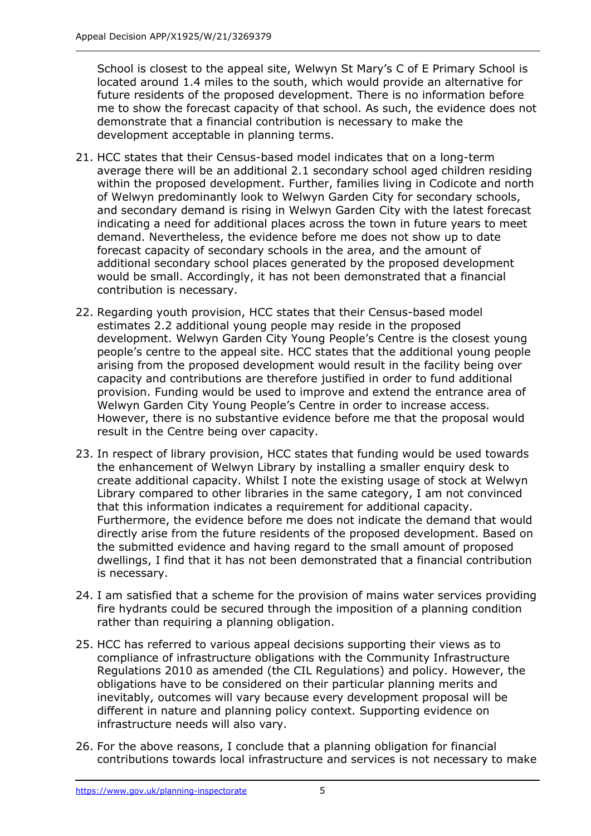School is closest to the appeal site, Welwyn St Mary's C of E Primary School is located around 1.4 miles to the south, which would provide an alternative for future residents of the proposed development. There is no information before me to show the forecast capacity of that school. As such, the evidence does not demonstrate that a financial contribution is necessary to make the development acceptable in planning terms.

- 21. HCC states that their Census-based model indicates that on a long-term average there will be an additional 2.1 secondary school aged children residing within the proposed development. Further, families living in Codicote and north of Welwyn predominantly look to Welwyn Garden City for secondary schools, and secondary demand is rising in Welwyn Garden City with the latest forecast indicating a need for additional places across the town in future years to meet demand. Nevertheless, the evidence before me does not show up to date forecast capacity of secondary schools in the area, and the amount of additional secondary school places generated by the proposed development would be small. Accordingly, it has not been demonstrated that a financial contribution is necessary.
- 22. Regarding youth provision, HCC states that their Census-based model estimates 2.2 additional young people may reside in the proposed development. Welwyn Garden City Young People's Centre is the closest young people's centre to the appeal site. HCC states that the additional young people arising from the proposed development would result in the facility being over capacity and contributions are therefore justified in order to fund additional provision. Funding would be used to improve and extend the entrance area of Welwyn Garden City Young People's Centre in order to increase access. However, there is no substantive evidence before me that the proposal would result in the Centre being over capacity.
- 23. In respect of library provision, HCC states that funding would be used towards the enhancement of Welwyn Library by installing a smaller enquiry desk to create additional capacity. Whilst I note the existing usage of stock at Welwyn Library compared to other libraries in the same category, I am not convinced that this information indicates a requirement for additional capacity. Furthermore, the evidence before me does not indicate the demand that would directly arise from the future residents of the proposed development. Based on the submitted evidence and having regard to the small amount of proposed dwellings, I find that it has not been demonstrated that a financial contribution is necessary.
- 24. I am satisfied that a scheme for the provision of mains water services providing fire hydrants could be secured through the imposition of a planning condition rather than requiring a planning obligation.
- 25. HCC has referred to various appeal decisions supporting their views as to compliance of infrastructure obligations with the Community Infrastructure Regulations 2010 as amended (the CIL Regulations) and policy. However, the obligations have to be considered on their particular planning merits and inevitably, outcomes will vary because every development proposal will be different in nature and planning policy context. Supporting evidence on infrastructure needs will also vary.
- 26. For the above reasons, I conclude that a planning obligation for financial contributions towards local infrastructure and services is not necessary to make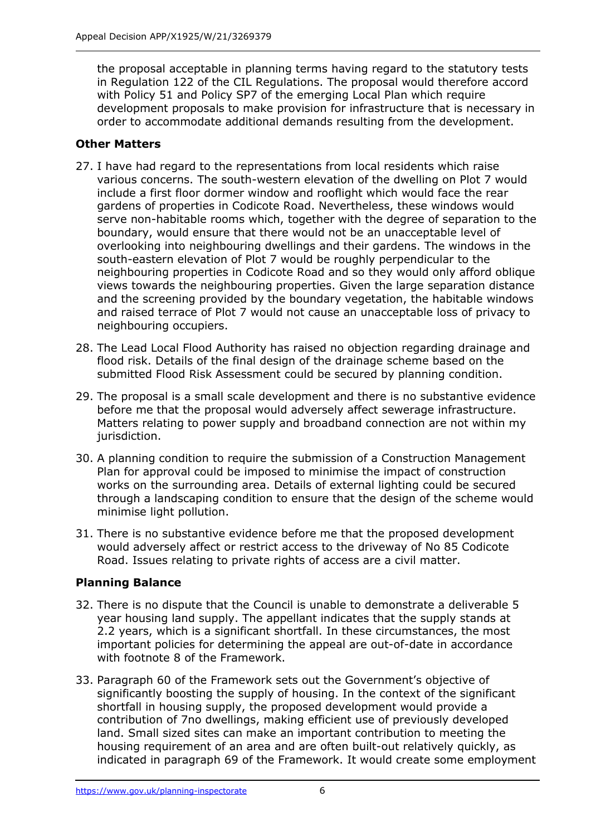the proposal acceptable in planning terms having regard to the statutory tests in Regulation 122 of the CIL Regulations. The proposal would therefore accord with Policy 51 and Policy SP7 of the emerging Local Plan which require development proposals to make provision for infrastructure that is necessary in order to accommodate additional demands resulting from the development.

# **Other Matters**

- 27. I have had regard to the representations from local residents which raise various concerns. The south-western elevation of the dwelling on Plot 7 would include a first floor dormer window and rooflight which would face the rear gardens of properties in Codicote Road. Nevertheless, these windows would serve non-habitable rooms which, together with the degree of separation to the boundary, would ensure that there would not be an unacceptable level of overlooking into neighbouring dwellings and their gardens. The windows in the south-eastern elevation of Plot 7 would be roughly perpendicular to the neighbouring properties in Codicote Road and so they would only afford oblique views towards the neighbouring properties. Given the large separation distance and the screening provided by the boundary vegetation, the habitable windows and raised terrace of Plot 7 would not cause an unacceptable loss of privacy to neighbouring occupiers.
- 28. The Lead Local Flood Authority has raised no objection regarding drainage and flood risk. Details of the final design of the drainage scheme based on the submitted Flood Risk Assessment could be secured by planning condition.
- 29. The proposal is a small scale development and there is no substantive evidence before me that the proposal would adversely affect sewerage infrastructure. Matters relating to power supply and broadband connection are not within my jurisdiction.
- 30. A planning condition to require the submission of a Construction Management Plan for approval could be imposed to minimise the impact of construction works on the surrounding area. Details of external lighting could be secured through a landscaping condition to ensure that the design of the scheme would minimise light pollution.
- 31. There is no substantive evidence before me that the proposed development would adversely affect or restrict access to the driveway of No 85 Codicote Road. Issues relating to private rights of access are a civil matter.

# **Planning Balance**

- 32. There is no dispute that the Council is unable to demonstrate a deliverable 5 year housing land supply. The appellant indicates that the supply stands at 2.2 years, which is a significant shortfall. In these circumstances, the most important policies for determining the appeal are out-of-date in accordance with footnote 8 of the Framework.
- 33. Paragraph 60 of the Framework sets out the Government's objective of significantly boosting the supply of housing. In the context of the significant shortfall in housing supply, the proposed development would provide a contribution of 7no dwellings, making efficient use of previously developed land. Small sized sites can make an important contribution to meeting the housing requirement of an area and are often built-out relatively quickly, as indicated in paragraph 69 of the Framework. It would create some employment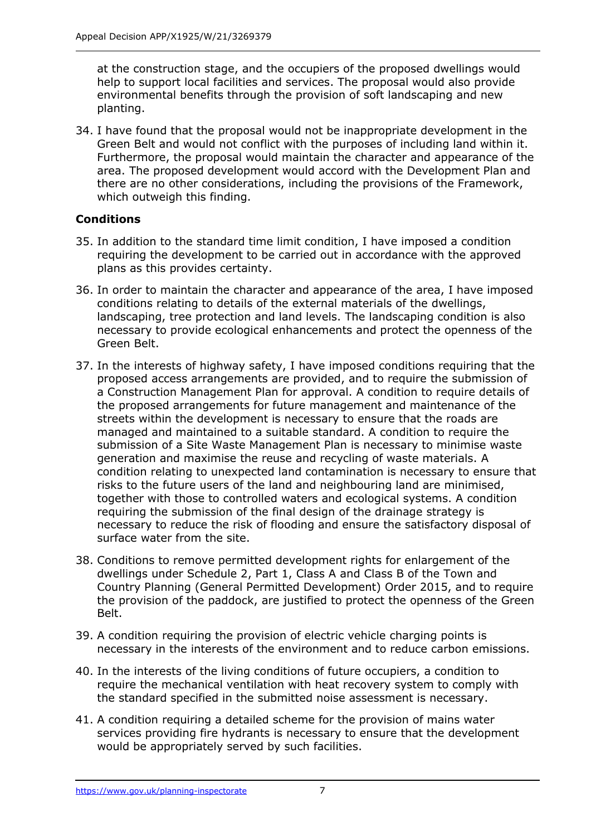at the construction stage, and the occupiers of the proposed dwellings would help to support local facilities and services. The proposal would also provide environmental benefits through the provision of soft landscaping and new planting.

34. I have found that the proposal would not be inappropriate development in the Green Belt and would not conflict with the purposes of including land within it. Furthermore, the proposal would maintain the character and appearance of the area. The proposed development would accord with the Development Plan and there are no other considerations, including the provisions of the Framework, which outweigh this finding.

# **Conditions**

- 35. In addition to the standard time limit condition, I have imposed a condition requiring the development to be carried out in accordance with the approved plans as this provides certainty.
- 36. In order to maintain the character and appearance of the area, I have imposed conditions relating to details of the external materials of the dwellings, landscaping, tree protection and land levels. The landscaping condition is also necessary to provide ecological enhancements and protect the openness of the Green Belt.
- 37. In the interests of highway safety, I have imposed conditions requiring that the proposed access arrangements are provided, and to require the submission of a Construction Management Plan for approval. A condition to require details of the proposed arrangements for future management and maintenance of the streets within the development is necessary to ensure that the roads are managed and maintained to a suitable standard. A condition to require the submission of a Site Waste Management Plan is necessary to minimise waste generation and maximise the reuse and recycling of waste materials. A condition relating to unexpected land contamination is necessary to ensure that risks to the future users of the land and neighbouring land are minimised, together with those to controlled waters and ecological systems. A condition requiring the submission of the final design of the drainage strategy is necessary to reduce the risk of flooding and ensure the satisfactory disposal of surface water from the site.
- 38. Conditions to remove permitted development rights for enlargement of the dwellings under Schedule 2, Part 1, Class A and Class B of the Town and Country Planning (General Permitted Development) Order 2015, and to require the provision of the paddock, are justified to protect the openness of the Green Belt.
- 39. A condition requiring the provision of electric vehicle charging points is necessary in the interests of the environment and to reduce carbon emissions.
- 40. In the interests of the living conditions of future occupiers, a condition to require the mechanical ventilation with heat recovery system to comply with the standard specified in the submitted noise assessment is necessary.
- 41. A condition requiring a detailed scheme for the provision of mains water services providing fire hydrants is necessary to ensure that the development would be appropriately served by such facilities.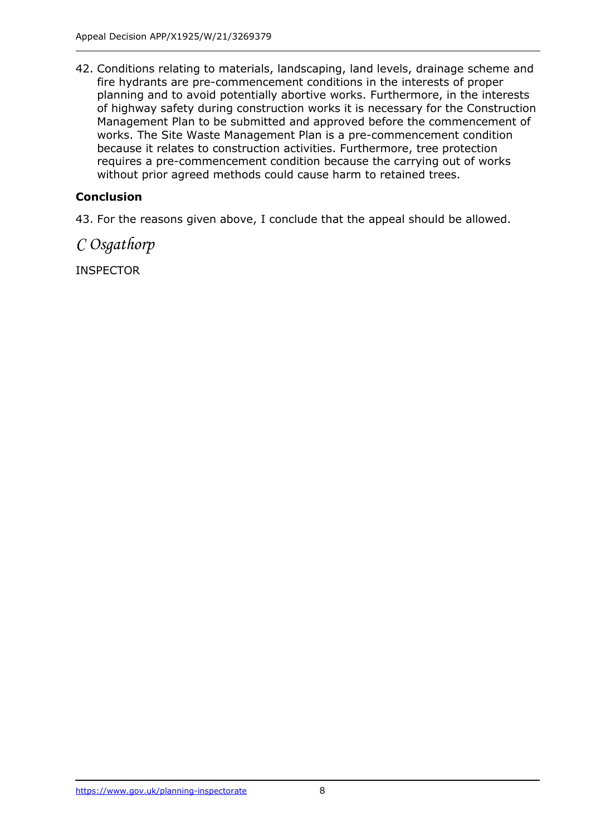42. Conditions relating to materials, landscaping, land levels, drainage scheme and fire hydrants are pre-commencement conditions in the interests of proper planning and to avoid potentially abortive works. Furthermore, in the interests of highway safety during construction works it is necessary for the Construction Management Plan to be submitted and approved before the commencement of works. The Site Waste Management Plan is a pre-commencement condition because it relates to construction activities. Furthermore, tree protection requires a pre-commencement condition because the carrying out of works without prior agreed methods could cause harm to retained trees.

# **Conclusion**

43. For the reasons given above, I conclude that the appeal should be allowed.

*C Osgathorp*

INSPECTOR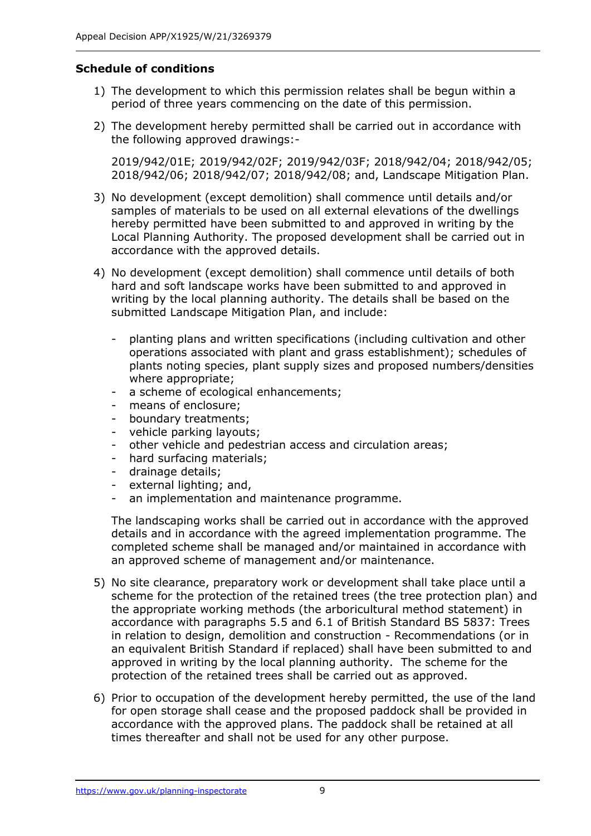### **Schedule of conditions**

- 1) The development to which this permission relates shall be begun within a period of three years commencing on the date of this permission.
- 2) The development hereby permitted shall be carried out in accordance with the following approved drawings:-

2019/942/01E; 2019/942/02F; 2019/942/03F; 2018/942/04; 2018/942/05; 2018/942/06; 2018/942/07; 2018/942/08; and, Landscape Mitigation Plan.

- 3) No development (except demolition) shall commence until details and/or samples of materials to be used on all external elevations of the dwellings hereby permitted have been submitted to and approved in writing by the Local Planning Authority. The proposed development shall be carried out in accordance with the approved details.
- 4) No development (except demolition) shall commence until details of both hard and soft landscape works have been submitted to and approved in writing by the local planning authority. The details shall be based on the submitted Landscape Mitigation Plan, and include:
	- planting plans and written specifications (including cultivation and other operations associated with plant and grass establishment); schedules of plants noting species, plant supply sizes and proposed numbers/densities where appropriate;
	- a scheme of ecological enhancements;
	- means of enclosure;
	- boundary treatments;
	- vehicle parking layouts;
	- other vehicle and pedestrian access and circulation areas;
	- hard surfacing materials;
	- drainage details;
	- external lighting; and,
	- an implementation and maintenance programme.

The landscaping works shall be carried out in accordance with the approved details and in accordance with the agreed implementation programme. The completed scheme shall be managed and/or maintained in accordance with an approved scheme of management and/or maintenance.

- 5) No site clearance, preparatory work or development shall take place until a scheme for the protection of the retained trees (the tree protection plan) and the appropriate working methods (the arboricultural method statement) in accordance with paragraphs 5.5 and 6.1 of British Standard BS 5837: Trees in relation to design, demolition and construction - Recommendations (or in an equivalent British Standard if replaced) shall have been submitted to and approved in writing by the local planning authority. The scheme for the protection of the retained trees shall be carried out as approved.
- 6) Prior to occupation of the development hereby permitted, the use of the land for open storage shall cease and the proposed paddock shall be provided in accordance with the approved plans. The paddock shall be retained at all times thereafter and shall not be used for any other purpose.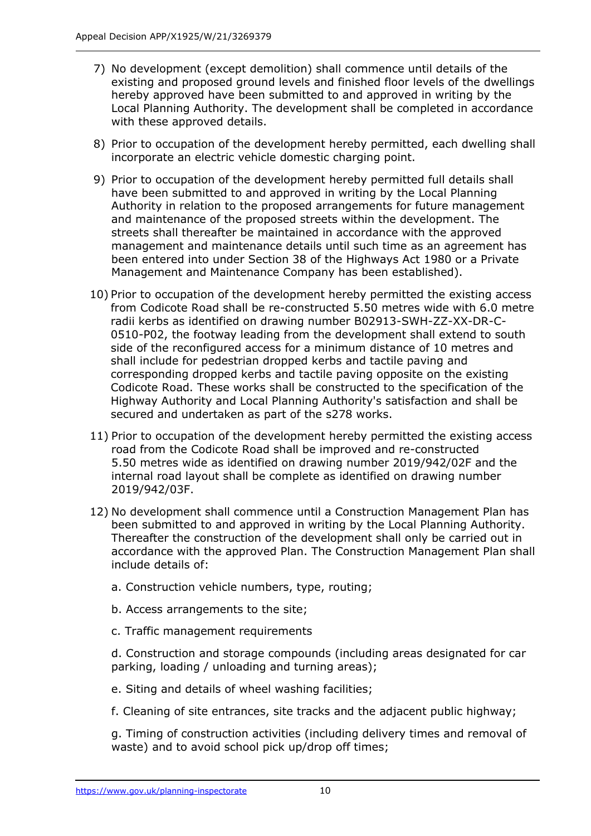- 7) No development (except demolition) shall commence until details of the existing and proposed ground levels and finished floor levels of the dwellings hereby approved have been submitted to and approved in writing by the Local Planning Authority. The development shall be completed in accordance with these approved details.
- 8) Prior to occupation of the development hereby permitted, each dwelling shall incorporate an electric vehicle domestic charging point.
- 9) Prior to occupation of the development hereby permitted full details shall have been submitted to and approved in writing by the Local Planning Authority in relation to the proposed arrangements for future management and maintenance of the proposed streets within the development. The streets shall thereafter be maintained in accordance with the approved management and maintenance details until such time as an agreement has been entered into under Section 38 of the Highways Act 1980 or a Private Management and Maintenance Company has been established).
- 10) Prior to occupation of the development hereby permitted the existing access from Codicote Road shall be re-constructed 5.50 metres wide with 6.0 metre radii kerbs as identified on drawing number B02913-SWH-ZZ-XX-DR-C-0510-P02, the footway leading from the development shall extend to south side of the reconfigured access for a minimum distance of 10 metres and shall include for pedestrian dropped kerbs and tactile paving and corresponding dropped kerbs and tactile paving opposite on the existing Codicote Road. These works shall be constructed to the specification of the Highway Authority and Local Planning Authority's satisfaction and shall be secured and undertaken as part of the s278 works.
- 11) Prior to occupation of the development hereby permitted the existing access road from the Codicote Road shall be improved and re-constructed 5.50 metres wide as identified on drawing number 2019/942/02F and the internal road layout shall be complete as identified on drawing number 2019/942/03F.
- 12) No development shall commence until a Construction Management Plan has been submitted to and approved in writing by the Local Planning Authority. Thereafter the construction of the development shall only be carried out in accordance with the approved Plan. The Construction Management Plan shall include details of:
	- a. Construction vehicle numbers, type, routing;
	- b. Access arrangements to the site;
	- c. Traffic management requirements

d. Construction and storage compounds (including areas designated for car parking, loading / unloading and turning areas);

- e. Siting and details of wheel washing facilities;
- f. Cleaning of site entrances, site tracks and the adjacent public highway;

g. Timing of construction activities (including delivery times and removal of waste) and to avoid school pick up/drop off times;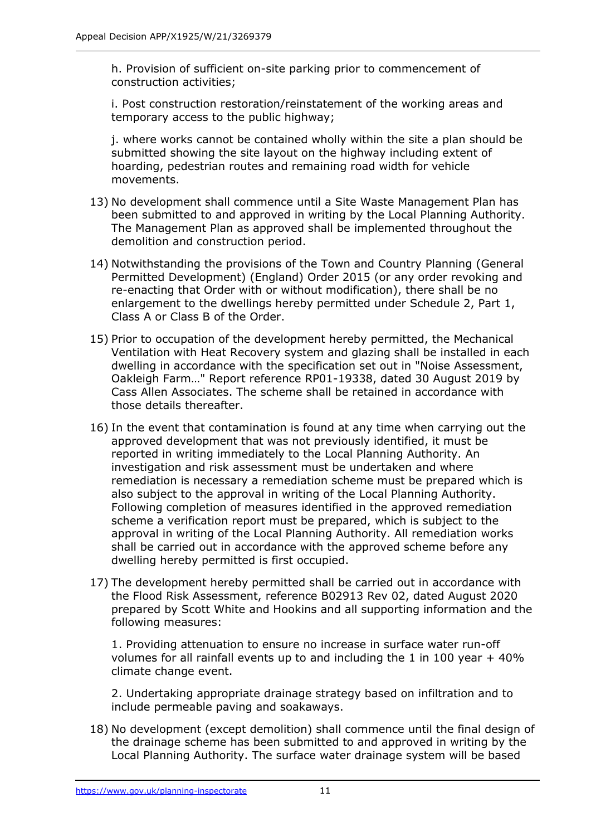h. Provision of sufficient on-site parking prior to commencement of construction activities;

i. Post construction restoration/reinstatement of the working areas and temporary access to the public highway;

j. where works cannot be contained wholly within the site a plan should be submitted showing the site layout on the highway including extent of hoarding, pedestrian routes and remaining road width for vehicle movements.

- 13) No development shall commence until a Site Waste Management Plan has been submitted to and approved in writing by the Local Planning Authority. The Management Plan as approved shall be implemented throughout the demolition and construction period.
- 14) Notwithstanding the provisions of the Town and Country Planning (General Permitted Development) (England) Order 2015 (or any order revoking and re-enacting that Order with or without modification), there shall be no enlargement to the dwellings hereby permitted under Schedule 2, Part 1, Class A or Class B of the Order.
- 15) Prior to occupation of the development hereby permitted, the Mechanical Ventilation with Heat Recovery system and glazing shall be installed in each dwelling in accordance with the specification set out in "Noise Assessment, Oakleigh Farm…" Report reference RP01-19338, dated 30 August 2019 by Cass Allen Associates. The scheme shall be retained in accordance with those details thereafter.
- 16) In the event that contamination is found at any time when carrying out the approved development that was not previously identified, it must be reported in writing immediately to the Local Planning Authority. An investigation and risk assessment must be undertaken and where remediation is necessary a remediation scheme must be prepared which is also subject to the approval in writing of the Local Planning Authority. Following completion of measures identified in the approved remediation scheme a verification report must be prepared, which is subject to the approval in writing of the Local Planning Authority. All remediation works shall be carried out in accordance with the approved scheme before any dwelling hereby permitted is first occupied.
- 17) The development hereby permitted shall be carried out in accordance with the Flood Risk Assessment, reference B02913 Rev 02, dated August 2020 prepared by Scott White and Hookins and all supporting information and the following measures:

1. Providing attenuation to ensure no increase in surface water run-off volumes for all rainfall events up to and including the 1 in 100 year + 40% climate change event.

2. Undertaking appropriate drainage strategy based on infiltration and to include permeable paving and soakaways.

18) No development (except demolition) shall commence until the final design of the drainage scheme has been submitted to and approved in writing by the Local Planning Authority. The surface water drainage system will be based